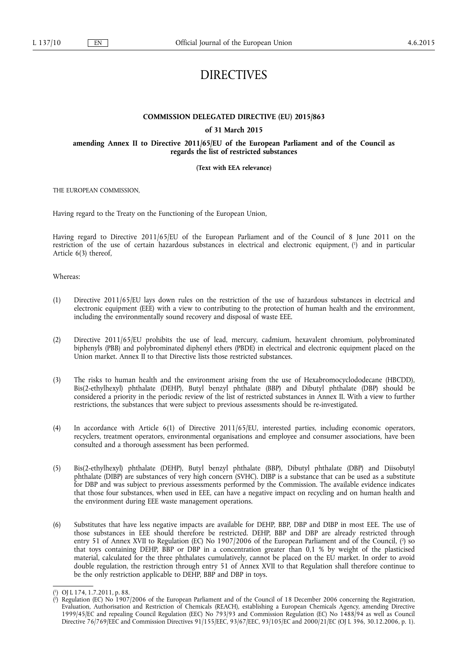# DIRECTIVES

# **COMMISSION DELEGATED DIRECTIVE (EU) 2015/863**

## **of 31 March 2015**

**amending Annex II to Directive 2011/65/EU of the European Parliament and of the Council as regards the list of restricted substances** 

### **(Text with EEA relevance)**

THE EUROPEAN COMMISSION,

Having regard to the Treaty on the Functioning of the European Union,

Having regard to Directive 2011/65/EU of the European Parliament and of the Council of 8 June 2011 on the restriction of the use of certain hazardous substances in electrical and electronic equipment, ( 1 ) and in particular Article 6(3) thereof,

### Whereas:

- (1) Directive 2011/65/EU lays down rules on the restriction of the use of hazardous substances in electrical and electronic equipment (EEE) with a view to contributing to the protection of human health and the environment, including the environmentally sound recovery and disposal of waste EEE.
- (2) Directive 2011/65/EU prohibits the use of lead, mercury, cadmium, hexavalent chromium, polybrominated biphenyls (PBB) and polybrominated diphenyl ethers (PBDE) in electrical and electronic equipment placed on the Union market. Annex II to that Directive lists those restricted substances.
- (3) The risks to human health and the environment arising from the use of Hexabromocyclododecane (HBCDD), Bis(2-ethylhexyl) phthalate (DEHP), Butyl benzyl phthalate (BBP) and Dibutyl phthalate (DBP) should be considered a priority in the periodic review of the list of restricted substances in Annex II. With a view to further restrictions, the substances that were subject to previous assessments should be re-investigated.
- (4) In accordance with Article 6(1) of Directive 2011/65/EU, interested parties, including economic operators, recyclers, treatment operators, environmental organisations and employee and consumer associations, have been consulted and a thorough assessment has been performed.
- (5) Bis(2-ethylhexyl) phthalate (DEHP), Butyl benzyl phthalate (BBP), Dibutyl phthalate (DBP) and Diisobutyl phthalate (DIBP) are substances of very high concern (SVHC). DIBP is a substance that can be used as a substitute for DBP and was subject to previous assessments performed by the Commission. The available evidence indicates that those four substances, when used in EEE, can have a negative impact on recycling and on human health and the environment during EEE waste management operations.
- (6) Substitutes that have less negative impacts are available for DEHP, BBP, DBP and DIBP in most EEE. The use of those substances in EEE should therefore be restricted. DEHP, BBP and DBP are already restricted through entry 51 of Annex XVII to Regulation (EC) No 1907/2006 of the European Parliament and of the Council, (?) so that toys containing DEHP, BBP or DBP in a concentration greater than 0,1 % by weight of the plasticised material, calculated for the three phthalates cumulatively, cannot be placed on the EU market. In order to avoid double regulation, the restriction through entry 51 of Annex XVII to that Regulation shall therefore continue to be the only restriction applicable to DEHP, BBP and DBP in toys.

<sup>(</sup> 1 ) OJ L 174, 1.7.2011, p. 88.

<sup>(</sup> 2 ) Regulation (EC) No 1907/2006 of the European Parliament and of the Council of 18 December 2006 concerning the Registration, Evaluation, Authorisation and Restriction of Chemicals (REACH), establishing a European Chemicals Agency, amending Directive 1999/45/EC and repealing Council Regulation (EEC) No 793/93 and Commission Regulation (EC) No 1488/94 as well as Council Directive 76/769/EEC and Commission Directives 91/155/EEC, 93/67/EEC, 93/105/EC and 2000/21/EC (OJ L 396, 30.12.2006, p. 1).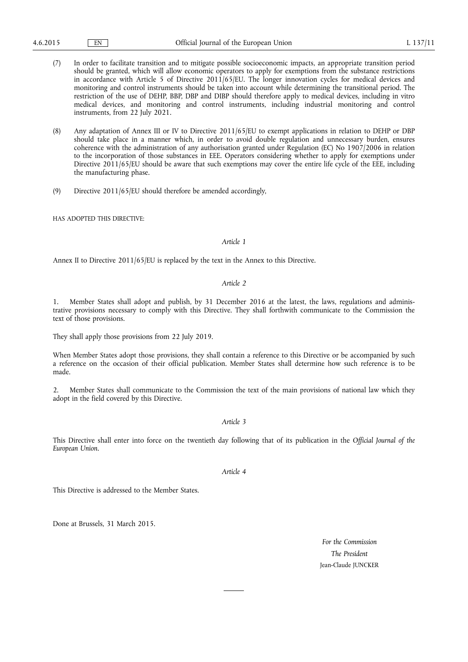- (7) In order to facilitate transition and to mitigate possible socioeconomic impacts, an appropriate transition period should be granted, which will allow economic operators to apply for exemptions from the substance restrictions in accordance with Article 5 of Directive 2011/65/EU. The longer innovation cycles for medical devices and monitoring and control instruments should be taken into account while determining the transitional period. The restriction of the use of DEHP, BBP, DBP and DIBP should therefore apply to medical devices, including in vitro medical devices, and monitoring and control instruments, including industrial monitoring and control instruments, from 22 July 2021.
- (8) Any adaptation of Annex III or IV to Directive 2011/65/EU to exempt applications in relation to DEHP or DBP should take place in a manner which, in order to avoid double regulation and unnecessary burden, ensures coherence with the administration of any authorisation granted under Regulation (EC) No 1907/2006 in relation to the incorporation of those substances in EEE. Operators considering whether to apply for exemptions under Directive 2011/65/EU should be aware that such exemptions may cover the entire life cycle of the EEE, including the manufacturing phase.
- (9) Directive 2011/65/EU should therefore be amended accordingly,

HAS ADOPTED THIS DIRECTIVE:

#### *Article 1*

Annex II to Directive 2011/65/EU is replaced by the text in the Annex to this Directive.

### *Article 2*

Member States shall adopt and publish, by 31 December 2016 at the latest, the laws, regulations and administrative provisions necessary to comply with this Directive. They shall forthwith communicate to the Commission the text of those provisions.

They shall apply those provisions from 22 July 2019.

When Member States adopt those provisions, they shall contain a reference to this Directive or be accompanied by such a reference on the occasion of their official publication. Member States shall determine how such reference is to be made.

2. Member States shall communicate to the Commission the text of the main provisions of national law which they adopt in the field covered by this Directive.

### *Article 3*

This Directive shall enter into force on the twentieth day following that of its publication in the *Official Journal of the European Union*.

*Article 4* 

This Directive is addressed to the Member States.

Done at Brussels, 31 March 2015.

*For the Commission The President*  Jean-Claude JUNCKER